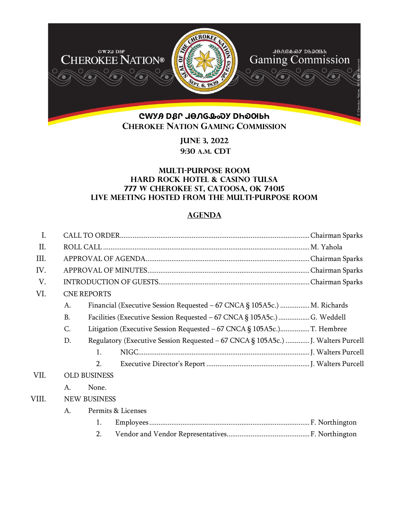

**June 3, 2022 9:30 A.M. CDT** 

## **Multi-Purpose Room Hard Rock Hotel & Casino Tulsa 777 W Cherokee St, Catoosa, OK 74015 Live meeting hosted from the Multi-Purpose Room**

## **AGENDA**

| I.    |           |                                                                                  |  |  |
|-------|-----------|----------------------------------------------------------------------------------|--|--|
| Π.    |           |                                                                                  |  |  |
| III.  |           |                                                                                  |  |  |
| IV.   |           |                                                                                  |  |  |
| V.    |           |                                                                                  |  |  |
| VI.   |           | <b>CNE REPORTS</b>                                                               |  |  |
|       | A.        | Financial (Executive Session Requested – 67 CNCA § 105A5c.)  M. Richards         |  |  |
|       | <b>B.</b> | Facilities (Executive Session Requested - 67 CNCA § 105A5c.)  G. Weddell         |  |  |
|       | C.        |                                                                                  |  |  |
|       | D.        | Regulatory (Executive Session Requested - 67 CNCA § 105A5c.)  J. Walters Purcell |  |  |
|       |           | $\mathbf{1}$ .                                                                   |  |  |
|       |           | 2.                                                                               |  |  |
| VII.  |           | <b>OLD BUSINESS</b>                                                              |  |  |
|       | A.        | None.                                                                            |  |  |
| VIII. |           | <b>NEW BUSINESS</b>                                                              |  |  |
|       | A.        | Permits & Licenses                                                               |  |  |
|       |           | 1.                                                                               |  |  |
|       |           | 2.                                                                               |  |  |